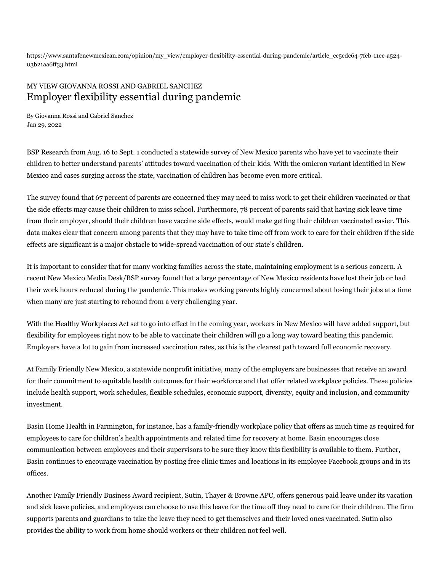https://www.santafenewmexican.com/opinion/my\_view/employer-flexibility-essential-during-pandemic/article\_cc5cdc64-7feb-11ec-a524- 03b21aa6ff33.html

## MY VIEW GIOVANNA ROSSI AND GABRIEL SANCHEZ Employer flexibility essential during pandemic

By Giovanna Rossi and Gabriel Sanchez Jan 29, 2022

BSP Research from Aug. 16 to Sept. 1 conducted a statewide survey of New Mexico parents who have yet to vaccinate their children to better understand parents' attitudes toward vaccination of their kids. With the omicron variant identified in New Mexico and cases surging across the state, vaccination of children has become even more critical.

The survey found that 67 percent of parents are concerned they may need to miss work to get their children vaccinated or that the side effects may cause their children to miss school. Furthermore, 78 percent of parents said that having sick leave time from their employer, should their children have vaccine side effects, would make getting their children vaccinated easier. This data makes clear that concern among parents that they may have to take time off from work to care for their children if the side effects are significant is a major obstacle to wide-spread vaccination of our state's children.

It is important to consider that for many working families across the state, maintaining employment is a serious concern. A recent New Mexico Media Desk/BSP survey found that a large percentage of New Mexico residents have lost their job or had their work hours reduced during the pandemic. This makes working parents highly concerned about losing their jobs at a time when many are just starting to rebound from a very challenging year.

With the Healthy Workplaces Act set to go into effect in the coming year, workers in New Mexico will have added support, but flexibility for employees right now to be able to vaccinate their children will go a long way toward beating this pandemic. Employers have a lot to gain from increased vaccination rates, as this is the clearest path toward full economic recovery.

At Family Friendly New Mexico, a statewide nonprofit initiative, many of the employers are businesses that receive an award for their commitment to equitable health outcomes for their workforce and that offer related workplace policies. These policies include health support, work schedules, flexible schedules, economic support, diversity, equity and inclusion, and community investment.

Basin Home Health in Farmington, for instance, has a family-friendly workplace policy that offers as much time as required for employees to care for children's health appointments and related time for recovery at home. Basin encourages close communication between employees and their supervisors to be sure they know this flexibility is available to them. Further, Basin continues to encourage vaccination by posting free clinic times and locations in its employee Facebook groups and in its offices.

Another Family Friendly Business Award recipient, Sutin, Thayer & Browne APC, offers generous paid leave under its vacation and sick leave policies, and employees can choose to use this leave for the time off they need to care for their children. The firm supports parents and guardians to take the leave they need to get themselves and their loved ones vaccinated. Sutin also provides the ability to work from home should workers or their children not feel well.